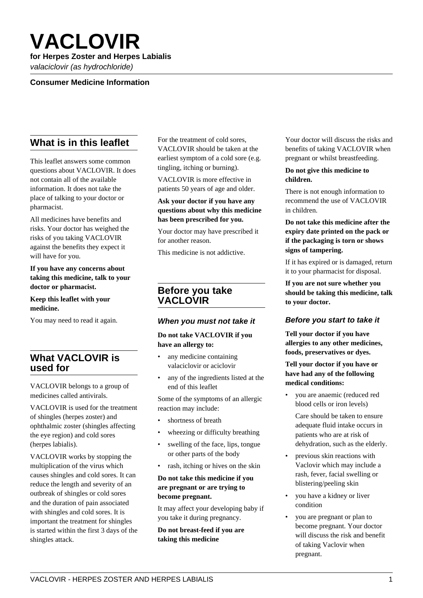# **VACLOVIR**

# **for Herpes Zoster and Herpes Labialis**

valaciclovir (as hydrochloride)

# **Consumer Medicine Information**

# **What is in this leaflet**

This leaflet answers some common questions about VACLOVIR. It does not contain all of the available information. It does not take the place of talking to your doctor or pharmacist.

All medicines have benefits and risks. Your doctor has weighed the risks of you taking VACLOVIR against the benefits they expect it will have for you.

#### **If you have any concerns about taking this medicine, talk to your doctor or pharmacist.**

#### **Keep this leaflet with your medicine.**

You may need to read it again.

# **What VACLOVIR is used for**

VACLOVIR belongs to a group of medicines called antivirals.

VACLOVIR is used for the treatment of shingles (herpes zoster) and ophthalmic zoster (shingles affecting the eye region) and cold sores (herpes labialis).

VACLOVIR works by stopping the multiplication of the virus which causes shingles and cold sores. It can reduce the length and severity of an outbreak of shingles or cold sores and the duration of pain associated with shingles and cold sores. It is important the treatment for shingles is started within the first 3 days of the shingles attack.

For the treatment of cold sores, VACLOVIR should be taken at the earliest symptom of a cold sore (e.g. tingling, itching or burning).

VACLOVIR is more effective in patients 50 years of age and older.

#### **Ask your doctor if you have any questions about why this medicine has been prescribed for you.**

Your doctor may have prescribed it for another reason.

This medicine is not addictive.

# **Before you take VACLOVIR**

#### **When you must not take it**

#### **Do not take VACLOVIR if you have an allergy to:**

- any medicine containing valaciclovir or aciclovir
- any of the ingredients listed at the end of this leaflet

Some of the symptoms of an allergic reaction may include:

- shortness of breath
- wheezing or difficulty breathing
- swelling of the face, lips, tongue or other parts of the body
- rash, itching or hives on the skin

#### **Do not take this medicine if you are pregnant or are trying to become pregnant.**

It may affect your developing baby if you take it during pregnancy.

**Do not breast-feed if you are taking this medicine**

Your doctor will discuss the risks and benefits of taking VACLOVIR when pregnant or whilst breastfeeding.

#### **Do not give this medicine to children.**

There is not enough information to recommend the use of VACLOVIR in children.

## **Do not take this medicine after the expiry date printed on the pack or if the packaging is torn or shows signs of tampering.**

If it has expired or is damaged, return it to your pharmacist for disposal.

**If you are not sure whether you should be taking this medicine, talk to your doctor.**

# **Before you start to take it**

**Tell your doctor if you have allergies to any other medicines, foods, preservatives or dyes.**

## **Tell your doctor if you have or have had any of the following medical conditions:**

• you are anaemic (reduced red blood cells or iron levels)

 Care should be taken to ensure adequate fluid intake occurs in patients who are at risk of dehydration, such as the elderly.

- previous skin reactions with Vaclovir which may include a rash, fever, facial swelling or blistering/peeling skin
- you have a kidney or liver condition
- you are pregnant or plan to become pregnant. Your doctor will discuss the risk and benefit of taking Vaclovir when pregnant.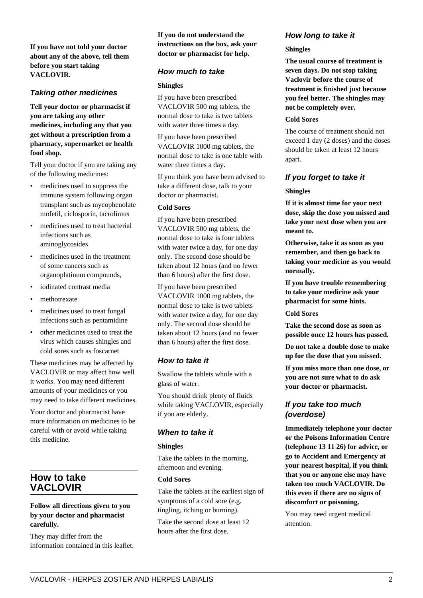**If you have not told your doctor about any of the above, tell them before you start taking VACLOVIR.**

# **Taking other medicines**

**Tell your doctor or pharmacist if you are taking any other medicines, including any that you get without a prescription from a pharmacy, supermarket or health food shop.**

Tell your doctor if you are taking any of the following medicines:

- medicines used to suppress the immune system following organ transplant such as mycophenolate mofetil, ciclosporin, tacrolimus
- medicines used to treat bacterial infections such as aminoglycosides
- medicines used in the treatment of some cancers such as organoplatinum compounds,
- iodinated contrast media
- methotrexate
- medicines used to treat fungal infections such as pentamidine
- other medicines used to treat the virus which causes shingles and cold sores such as foscarnet

These medicines may be affected by VACLOVIR or may affect how well it works. You may need different amounts of your medicines or you may need to take different medicines.

Your doctor and pharmacist have more information on medicines to be careful with or avoid while taking this medicine.

# **How to take VACLOVIR**

#### **Follow all directions given to you by your doctor and pharmacist carefully.**

They may differ from the information contained in this leaflet. **If you do not understand the instructions on the box, ask your doctor or pharmacist for help.**

## **How much to take**

#### **Shingles**

If you have been prescribed VACLOVIR 500 mg tablets, the normal dose to take is two tablets with water three times a day.

If you have been prescribed VACLOVIR 1000 mg tablets, the normal dose to take is one table with water three times a day.

If you think you have been advised to take a different dose, talk to your doctor or pharmacist.

#### **Cold Sores**

If you have been prescribed VACLOVIR 500 mg tablets, the normal dose to take is four tablets with water twice a day, for one day only. The second dose should be taken about 12 hours (and no fewer than 6 hours) after the first dose.

If you have been prescribed VACLOVIR 1000 mg tablets, the normal dose to take is two tablets with water twice a day, for one day only. The second dose should be taken about 12 hours (and no fewer than 6 hours) after the first dose.

# **How to take it**

Swallow the tablets whole with a glass of water.

You should drink plenty of fluids while taking VACLOVIR, especially if you are elderly.

# **When to take it**

#### **Shingles**

Take the tablets in the morning, afternoon and evening.

## **Cold Sores**

Take the tablets at the earliest sign of symptoms of a cold sore (e.g. tingling, itching or burning).

Take the second dose at least 12 hours after the first dose.

# **How long to take it**

#### **Shingles**

**The usual course of treatment is seven days. Do not stop taking Vaclovir before the course of treatment is finished just because you feel better. The shingles may not be completely over.**

#### **Cold Sores**

The course of treatment should not exceed 1 day (2 doses) and the doses should be taken at least 12 hours apart.

# **If you forget to take it**

#### **Shingles**

**If it is almost time for your next dose, skip the dose you missed and take your next dose when you are meant to.**

**Otherwise, take it as soon as you remember, and then go back to taking your medicine as you would normally.**

**If you have trouble remembering to take your medicine ask your pharmacist for some hints.**

#### **Cold Sores**

**Take the second dose as soon as possible once 12 hours has passed.**

**Do not take a double dose to make up for the dose that you missed.**

**If you miss more than one dose, or you are not sure what to do ask your doctor or pharmacist.**

# **If you take too much (overdose)**

**Immediately telephone your doctor or the Poisons Information Centre (telephone 13 11 26) for advice, or go to Accident and Emergency at your nearest hospital, if you think that you or anyone else may have taken too much VACLOVIR. Do this even if there are no signs of discomfort or poisoning.**

You may need urgent medical attention.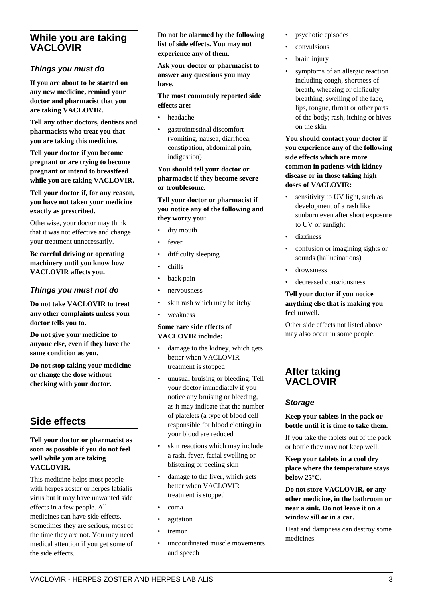# **While you are taking VACLOVIR**

# **Things you must do**

**If you are about to be started on any new medicine, remind your doctor and pharmacist that you are taking VACLOVIR.**

**Tell any other doctors, dentists and pharmacists who treat you that you are taking this medicine.**

**Tell your doctor if you become pregnant or are trying to become pregnant or intend to breastfeed while you are taking VACLOVIR.**

**Tell your doctor if, for any reason, you have not taken your medicine exactly as prescribed.**

Otherwise, your doctor may think that it was not effective and change your treatment unnecessarily.

**Be careful driving or operating machinery until you know how VACLOVIR affects you.**

# **Things you must not do**

**Do not take VACLOVIR to treat any other complaints unless your doctor tells you to.**

**Do not give your medicine to anyone else, even if they have the same condition as you.**

**Do not stop taking your medicine or change the dose without checking with your doctor.**

# **Side effects**

#### **Tell your doctor or pharmacist as soon as possible if you do not feel well while you are taking VACLOVIR.**

This medicine helps most people with herpes zoster or herpes labialis virus but it may have unwanted side effects in a few people. All medicines can have side effects. Sometimes they are serious, most of the time they are not. You may need medical attention if you get some of the side effects.

**Do not be alarmed by the following list of side effects. You may not experience any of them.**

**Ask your doctor or pharmacist to answer any questions you may have.**

#### **The most commonly reported side effects are:**

- headache
- gastrointestinal discomfort (vomiting, nausea, diarrhoea, constipation, abdominal pain, indigestion)

**You should tell your doctor or pharmacist if they become severe or troublesome.**

#### **Tell your doctor or pharmacist if you notice any of the following and they worry you:**

- dry mouth
- fever
- difficulty sleeping
- chills
- back pain
- nervousness
- skin rash which may be itchy
- weakness

## **Some rare side effects of VACLOVIR include:**

- damage to the kidney, which gets better when VACLOVIR treatment is stopped
- unusual bruising or bleeding. Tell your doctor immediately if you notice any bruising or bleeding, as it may indicate that the number of platelets (a type of blood cell responsible for blood clotting) in your blood are reduced
- skin reactions which may include a rash, fever, facial swelling or blistering or peeling skin
- damage to the liver, which gets better when VACLOVIR treatment is stopped
- coma
- agitation
- tremor
- uncoordinated muscle movements and speech
- psychotic episodes
- convulsions
- brain injury
- symptoms of an allergic reaction including cough, shortness of breath, wheezing or difficulty breathing; swelling of the face, lips, tongue, throat or other parts of the body; rash, itching or hives on the skin

**You should contact your doctor if you experience any of the following side effects which are more common in patients with kidney disease or in those taking high doses of VACLOVIR:**

- sensitivity to UV light, such as development of a rash like sunburn even after short exposure to UV or sunlight
- dizziness
- confusion or imagining sights or sounds (hallucinations)
- drowsiness
- decreased consciousness

#### **Tell your doctor if you notice anything else that is making you feel unwell.**

Other side effects not listed above may also occur in some people.

# **After taking VACLOVIR**

# **Storage**

#### **Keep your tablets in the pack or bottle until it is time to take them.**

If you take the tablets out of the pack or bottle they may not keep well.

**Keep your tablets in a cool dry place where the temperature stays below 25°C.**

**Do not store VACLOVIR, or any other medicine, in the bathroom or near a sink. Do not leave it on a window sill or in a car.**

Heat and dampness can destroy some medicines.